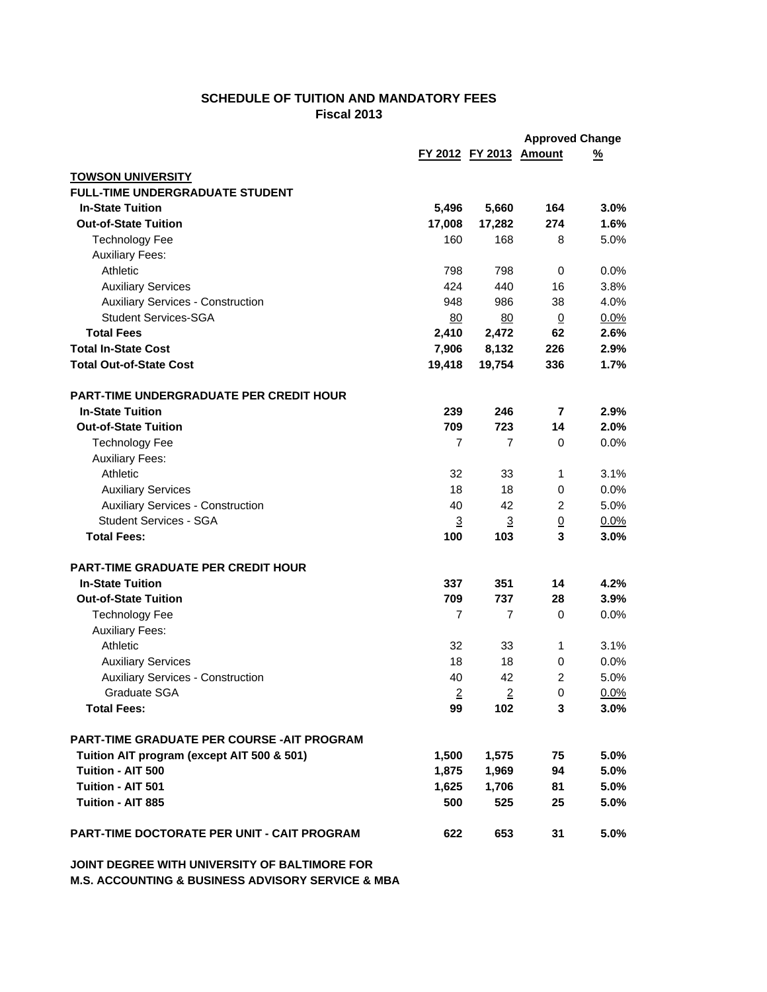## **SCHEDULE OF TUITION AND MANDATORY FEES Fiscal 2013**

|                                                |                |                        | <b>Approved Change</b> |          |  |
|------------------------------------------------|----------------|------------------------|------------------------|----------|--|
|                                                |                | FY 2012 FY 2013 Amount |                        | <u>%</u> |  |
| <b>TOWSON UNIVERSITY</b>                       |                |                        |                        |          |  |
| <b>FULL-TIME UNDERGRADUATE STUDENT</b>         |                |                        |                        |          |  |
| <b>In-State Tuition</b>                        | 5,496          | 5,660                  | 164                    | 3.0%     |  |
| <b>Out-of-State Tuition</b>                    | 17,008         | 17,282                 | 274                    | 1.6%     |  |
| <b>Technology Fee</b>                          | 160            | 168                    | 8                      | 5.0%     |  |
| <b>Auxiliary Fees:</b>                         |                |                        |                        |          |  |
| Athletic                                       | 798            | 798                    | 0                      | 0.0%     |  |
| <b>Auxiliary Services</b>                      | 424            | 440                    | 16                     | 3.8%     |  |
| <b>Auxiliary Services - Construction</b>       | 948            | 986                    | 38                     | 4.0%     |  |
| <b>Student Services-SGA</b>                    | 80             | 80                     | $\underline{0}$        | 0.0%     |  |
| <b>Total Fees</b>                              | 2,410          | 2,472                  | 62                     | 2.6%     |  |
| <b>Total In-State Cost</b>                     | 7,906          | 8,132                  | 226                    | 2.9%     |  |
| <b>Total Out-of-State Cost</b>                 | 19,418         | 19,754                 | 336                    | 1.7%     |  |
|                                                |                |                        |                        |          |  |
| <b>PART-TIME UNDERGRADUATE PER CREDIT HOUR</b> |                |                        |                        |          |  |
| <b>In-State Tuition</b>                        | 239            | 246                    | $\overline{7}$         | 2.9%     |  |
| <b>Out-of-State Tuition</b>                    | 709            | 723                    | 14                     | 2.0%     |  |
| <b>Technology Fee</b>                          | $\overline{7}$ | 7                      | $\mathbf 0$            | 0.0%     |  |
| <b>Auxiliary Fees:</b>                         |                |                        |                        |          |  |
| Athletic                                       | 32             | 33                     | 1                      | 3.1%     |  |
| <b>Auxiliary Services</b>                      | 18             | 18                     | 0                      | 0.0%     |  |
| <b>Auxiliary Services - Construction</b>       | 40             | 42                     | 2                      | 5.0%     |  |
| <b>Student Services - SGA</b>                  | $\overline{3}$ | $\overline{3}$         | $\underline{0}$        | 0.0%     |  |
| <b>Total Fees:</b>                             | 100            | 103                    | 3                      | 3.0%     |  |
| <b>PART-TIME GRADUATE PER CREDIT HOUR</b>      |                |                        |                        |          |  |
| <b>In-State Tuition</b>                        | 337            | 351                    | 14                     | 4.2%     |  |
| <b>Out-of-State Tuition</b>                    | 709            | 737                    | 28                     | 3.9%     |  |
| <b>Technology Fee</b>                          | 7              | $\overline{7}$         | 0                      | 0.0%     |  |
| <b>Auxiliary Fees:</b>                         |                |                        |                        |          |  |
| Athletic                                       | 32             | 33                     | 1                      | 3.1%     |  |
| <b>Auxiliary Services</b>                      | 18             | 18                     | 0                      | 0.0%     |  |
| <b>Auxiliary Services - Construction</b>       | 40             | 42                     | $\overline{c}$         | 5.0%     |  |
| Graduate SGA                                   | 2              | 2                      | 0                      | 0.0%     |  |
| <b>Total Fees:</b>                             | 99             | 102                    | 3                      | 3.0%     |  |
|                                                |                |                        |                        |          |  |
| PART-TIME GRADUATE PER COURSE - AIT PROGRAM    |                |                        |                        |          |  |
| Tuition AIT program (except AIT 500 & 501)     | 1,500          | 1,575                  | 75                     | 5.0%     |  |
| Tuition - AIT 500                              | 1,875          | 1,969                  | 94                     | 5.0%     |  |
| Tuition - AIT 501                              | 1,625          | 1,706                  | 81                     | 5.0%     |  |
| Tuition - AIT 885                              | 500            | 525                    | 25                     | 5.0%     |  |
| PART-TIME DOCTORATE PER UNIT - CAIT PROGRAM    | 622            | 653                    | 31                     | 5.0%     |  |

**JOINT DEGREE WITH UNIVERSITY OF BALTIMORE FOR M.S. ACCOUNTING & BUSINESS ADVISORY SERVICE & MBA**